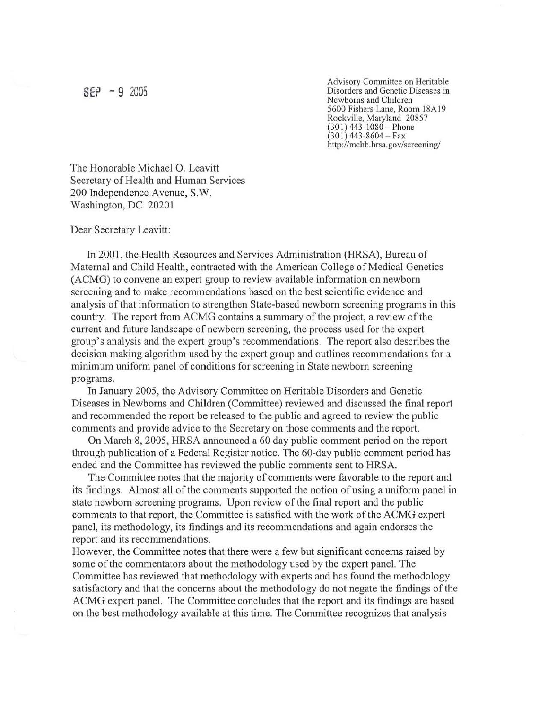Advisory Committee on Heritable  $SEP - 9$  2005 Disorders and Genetic Diseases in Newborns and Children 5600 Fishers Lane, Room 18Al9 Rockville, Maryland 20857  $(301)$  443-1080 – Phone  $(301)$  443-8604 – Fax http://mchb.hrsa.gov/screening/

The Honorable Michael O. Leavitt Secretary of Health and Human Services 200 Independence Avenue, S.W. Washington, DC 20201

Dear Secretary Leavitt:

In 2001, the Health Resources and Services Administration (HRSA), Bureau of Maternal and Child Health, contracted with the American College of Medical Genetics (ACMG) to convene an expert group to review available information on newborn screening and to make recommendations based on the best scientific evidence and analysis of that information to strengthen State-based newborn screening programs in this country. The report from ACMG contains a summary of the project, a review of the current and future landscape of newborn screening, the process used for the expert group's analysis and the expert group's recommendations. The report also describes the decision making algorithm used by the expert group and outlines recommendations for a minimum uniform panel of conditions for screening in State newborn screening programs.

In January 2005, the Advisory Committee on Heritable Disorders and Genetic Diseases in Newborns and Children (Committee) reviewed and discussed the final report and recommended the report be released to the public and agreed to review the public comments and provide advice to the Secretary on those comments and the report.

On March 8, 2005, HRSA announced a 60 day public comment period on the report through publication of a Federal Register notice. The 60-day public comment period has ended and the Committee has reviewed the public comments sent to HRSA.

The Committee notes that the majority of comments were favorable to the report and its findings. Almost all of the comments supported the notion of using a uniform panel in state newborn screening programs. Upon review of the final report and the public comments to that report, the Committee is satisfied with the work of the ACMG expert panel, its methodology, its findings and its recommendations and again endorses the report and its recommendations.

However, the Committee notes that there were a few but significant concerns raised by some of the commentators about the methodology used by the expert panel. The Committee has reviewed that methodology with experts and has found the methodology satisfactory and that the concerns about the methodology do not negate the findings of the ACMG expert panel. The Committee concludes that the report and its findings are based on the best methodology available at this time. The Committee recognizes that analysis